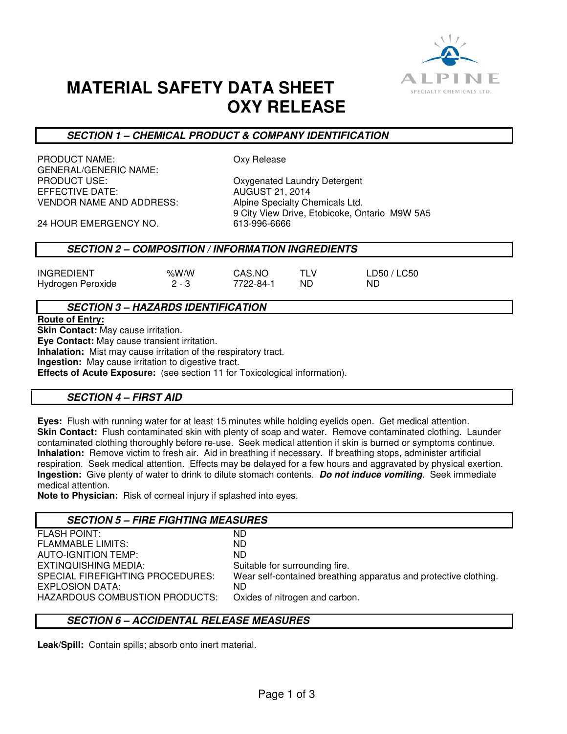

# **MATERIAL SAFETY DATA SHEET OXY RELEASE**

# **SECTION 1 – CHEMICAL PRODUCT & COMPANY IDENTIFICATION**

PRODUCT NAME: CONVINCENT CONVINCES GENERAL/GENERIC NAME: PRODUCT USE:<br>
EFFECTIVE DATE: 
and the state of the Caust AUGUST 21, 2014<br>
AUGUST 21, 2014 EFFECTIVE DATE: VENDOR NAME AND ADDRESS: Alpine Specialty Chemicals Ltd.

9 City View Drive, Etobicoke, Ontario M9W 5A5<br>613-996-6666

24 HOUR EMERGENCY NO.

# **SECTION 2 – COMPOSITION / INFORMATION INGREDIENTS**

|                   | % $W/M$ | CAS.NO    |     |             |
|-------------------|---------|-----------|-----|-------------|
| <b>INGREDIENT</b> |         |           |     | LD50 / LC50 |
| Hydrogen Peroxide | $2 - 3$ | 7722-84-1 | ND. | ND.         |

**SECTION 3 – HAZARDS IDENTIFICATION**

**Route of Entry:** 

**Skin Contact:** May cause irritation.

**Eye Contact:** May cause transient irritation.

**Inhalation:** Mist may cause irritation of the respiratory tract.

**Ingestion:** May cause irritation to digestive tract.

**Effects of Acute Exposure:** (see section 11 for Toxicological information).

# **SECTION 4 – FIRST AID**

**Eyes:** Flush with running water for at least 15 minutes while holding eyelids open. Get medical attention. **Skin Contact:** Flush contaminated skin with plenty of soap and water. Remove contaminated clothing. Launder contaminated clothing thoroughly before re-use. Seek medical attention if skin is burned or symptoms continue. **Inhalation:** Remove victim to fresh air. Aid in breathing if necessary. If breathing stops, administer artificial respiration. Seek medical attention. Effects may be delayed for a few hours and aggravated by physical exertion. **Ingestion:** Give plenty of water to drink to dilute stomach contents. **Do not induce vomiting**. Seek immediate medical attention.

**Note to Physician:** Risk of corneal injury if splashed into eyes.

# **SECTION 5 – FIRE FIGHTING MEASURES**

| <b>FLASH POINT:</b>              | ND.                                                              |
|----------------------------------|------------------------------------------------------------------|
| <b>FLAMMABLE LIMITS:</b>         | ND.                                                              |
| <b>AUTO-IGNITION TEMP:</b>       | ND.                                                              |
| EXTINQUISHING MEDIA:             | Suitable for surrounding fire.                                   |
| SPECIAL FIREFIGHTING PROCEDURES: | Wear self-contained breathing apparatus and protective clothing. |
| EXPLOSION DATA:                  | ND.                                                              |
| HAZARDOUS COMBUSTION PRODUCTS:   | Oxides of nitrogen and carbon.                                   |
|                                  |                                                                  |

# **SECTION 6 – ACCIDENTAL RELEASE MEASURES**

**Leak/Spill:** Contain spills; absorb onto inert material.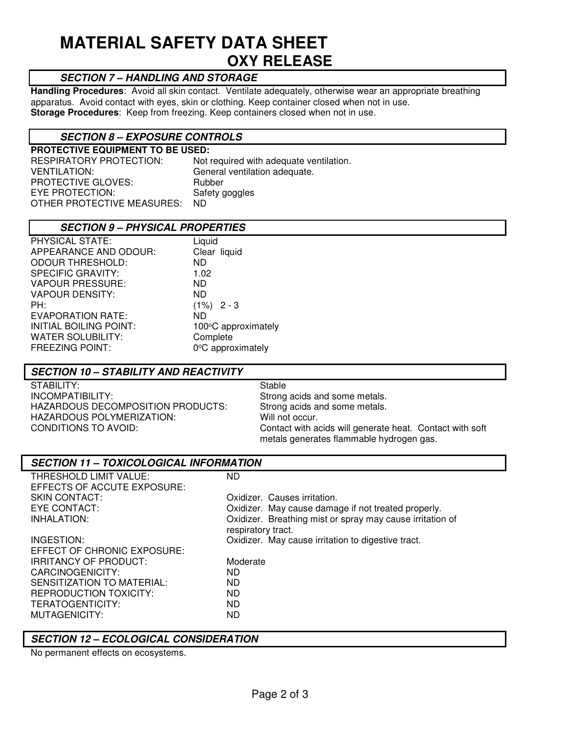# **MATERIAL SAFETY DATA SHEET OXY RELEASE**

# **SECTION 7 – HANDLING AND STORAGE**

**Handling Procedures**: Avoid all skin contact. Ventilate adequately, otherwise wear an appropriate breathing apparatus. Avoid contact with eyes, skin or clothing. Keep container closed when not in use. **Storage Procedures**: Keep from freezing. Keep containers closed when not in use.

# **SECTION 8 – EXPOSURE CONTROLS**

**PROTECTIVE EQUIPMENT TO BE USED:**  RESPIRATORY PROTECTION: Not required with adequate ventilation. VENTILATION: General ventilation adequate. PROTECTIVE GLOVES: Rubber EYE PROTECTION: Safety goggles OTHER PROTECTIVE MEASURES: ND

# **SECTION 9 – PHYSICAL PROPERTIES**

| PHYSICAL STATE:          | Liquid              |
|--------------------------|---------------------|
| APPEARANCE AND ODOUR:    | Clear liquid        |
| <b>ODOUR THRESHOLD:</b>  | ND.                 |
| <b>SPECIFIC GRAVITY:</b> | 1.02                |
| <b>VAPOUR PRESSURE:</b>  | ND.                 |
| <b>VAPOUR DENSITY:</b>   | ND.                 |
| PH:                      | $(1\%)$ 2 - 3       |
| <b>EVAPORATION RATE:</b> | ND.                 |
| INITIAL BOILING POINT:   | 100°C approximately |
| <b>WATER SOLUBILITY:</b> | Complete            |
| <b>FREEZING POINT:</b>   | 0°C approximately   |
|                          |                     |

### **SECTION 10 – STABILITY AND REACTIVITY**

STABILITY: STABILITY: INCOMPATIBILITY: Strong acids and some metals.<br>HAZARDOUS DECOMPOSITION PRODUCTS: Strong acids and some metals. HAZARDOUS DECOMPOSITION PRODUCTS: HAZARDOUS POLYMERIZATION: Will not occur.<br>CONDITIONS TO AVOID: CONDITIONS ON

Contact with acids will generate heat. Contact with soft metals generates flammable hydrogen gas.

#### **SECTION 11 – TOXICOLOGICAL INFORMATION**  THRESHOLD LIMIT VALUE: ND EFFECTS OF ACCUTE EXPOSURE: SKIN CONTACT: Causes irritation. EYE CONTACT: CONTACT: CONTACT: Oxidizer. May cause damage if not treated properly.<br>
Oxidizer. Breathing mist or spray may cause irritation<br>
Oxidizer. Breathing mist or spray may cause irritation Oxidizer. Breathing mist or spray may cause irritation of respiratory tract. INGESTION: Oxidizer. May cause irritation to digestive tract. EFFECT OF CHRONIC EXPOSURE: IRRITANCY OF PRODUCT: Moderate CARCINOGENICITY: ND SENSITIZATION TO MATERIAL: REPRODUCTION TOXICITY: ND TERATOGENTICITY: ND MUTAGENICITY: ND

# **SECTION 12 – ECOLOGICAL CONSIDERATION**

No permanent effects on ecosystems.